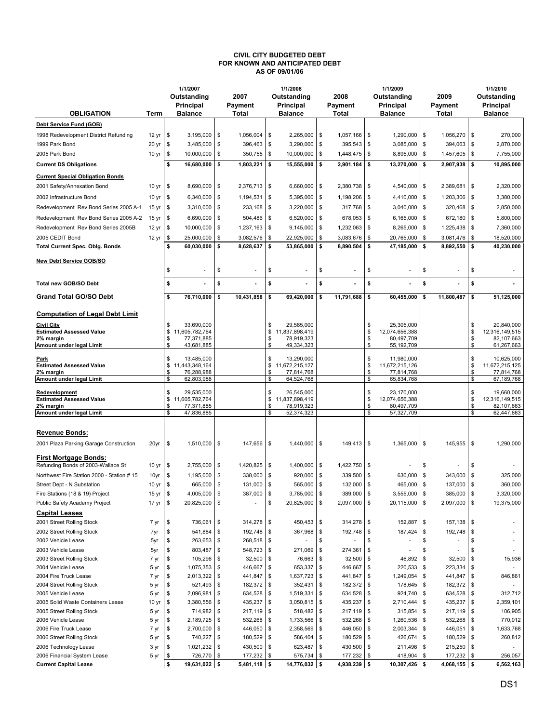## CIVIL CITY BUDGETED DEBT FOR KNOWN AND ANTICIPATED DEBT AS OF 09/01/06

|                                                             |                  |             | 1/1/2007                     |            |                              |                | 1/1/2008                     |                    |                         |                    | 1/1/2009                     |          |                           |          | 1/1/2010                     |  |
|-------------------------------------------------------------|------------------|-------------|------------------------------|------------|------------------------------|----------------|------------------------------|--------------------|-------------------------|--------------------|------------------------------|----------|---------------------------|----------|------------------------------|--|
|                                                             |                  | Outstanding |                              |            | 2007                         |                | Outstanding                  |                    | 2008                    |                    | Outstanding                  |          | 2009                      |          | Outstanding                  |  |
|                                                             |                  |             | Principal                    |            | Payment                      |                | Principal                    |                    | Payment                 |                    | Principal                    |          | Payment                   |          | Principal<br><b>Balance</b>  |  |
| <b>OBLIGATION</b>                                           | Term             |             | <b>Balance</b>               |            | Total                        |                | <b>Balance</b>               |                    | Total                   |                    | <b>Balance</b>               |          | Total                     |          |                              |  |
| Debt Service Fund (GOB)                                     |                  |             |                              |            |                              |                |                              |                    |                         |                    |                              |          |                           |          |                              |  |
| 1998 Redevelopment District Refunding                       | 12 yr            | \$          | 3,195,000                    | \$         | 1,056,004                    | \$             | 2,265,000                    | $\sim$             | 1,057,166               | \$                 | 1,290,000                    | \$       | 1,056,270 \$              |          | 270,000                      |  |
| 1999 Park Bond                                              | 20 <sub>yr</sub> | \$          | 3,485,000                    | \$         | 396,463                      | \$             | 3,290,000                    | \$                 | 395,543                 | \$                 | 3,085,000                    | \$       | 394,063                   | \$       | 2,870,000                    |  |
| 2005 Park Bond                                              | 10 <sub>yr</sub> | \$          | 10,000,000                   | \$         | $350,755$ \$                 |                | 10,000,000                   | <b>S</b>           | 1,448,475               | \$                 | 8,895,000                    | \$       | 1,457,605 \$              |          | 7,755,000                    |  |
| <b>Current DS Obligations</b>                               |                  | \$          | 16,680,000                   | \$         | 1,803,221                    | \$             | 15,555,000                   | \$                 | 2,901,184               | \$                 | 13,270,000                   | \$       | 2,907,938                 | \$       | 10,895,000                   |  |
| <b>Current Special Obligation Bonds</b>                     |                  |             |                              |            |                              |                |                              |                    |                         |                    |                              |          |                           |          |                              |  |
| 2001 Safety/Annexation Bond                                 | 10 yr            | \$          | 8,690,000                    | <b>S</b>   | 2,376,713                    | \$             | 6,660,000                    | <b>S</b>           | 2,380,738               | \$                 | 4,540,000                    | \$       | $2,389,681$ \$            |          | 2,320,000                    |  |
| 2002 Infrastructure Bond                                    | 10 <sub>yr</sub> | \$          | 6,340,000                    | \$         | 1,194,531                    | \$             | 5,395,000                    | $\sim$             | 1,198,206               | \$                 | 4,410,000                    | \$       | 1,203,306                 | - \$     | 3,380,000                    |  |
| Redevelopment Rev Bond Series 2005 A-1                      | 15 <sub>yr</sub> | \$          | 3,310,000                    | \$         | 233,168                      | \$             | 3,220,000                    | $\sqrt{3}$         | 317,768                 | \$                 | 3,040,000                    | \$       | 320,468                   | \$       | 2,850,000                    |  |
| Redevelopment Rev Bond Series 2005 A-2                      | 15 <sub>yr</sub> | \$          | 6,690,000                    | \$         | 504,486                      | \$             | 6,520,000                    | \$                 | 678,053                 | \$                 | 6,165,000                    | \$       | 672,180                   | - \$     | 5,800,000                    |  |
| Redevelopment Rev Bond Series 2005B                         | 12 yr            | \$          | 10,000,000                   | \$         | 1,237,163                    | \$             | 9,145,000                    | l \$               | 1,232,063               | \$                 | 8,265,000                    | \$       | 1,225,438                 | \$       | 7,360,000                    |  |
| 2005 CEDIT Bond                                             | 12 yr            | \$          | 25,000,000                   | \$         | 3,082,576                    | \$             | 22,925,000                   | <b>S</b>           | 3,083,676               | \$                 | 20,765,000                   | S        | 3,081,476                 | \$       | 18,520,000                   |  |
| <b>Total Current Spec. Oblg. Bonds</b>                      |                  | \$          | 60,030,000                   | \$         | 8,628,637                    | \$             | 53,865,000                   | l \$               | 8,890,504               | \$                 | 47,185,000                   | \$       | 8,892,550                 | \$       | 40,230,000                   |  |
| <b>New Debt Service GOB/SO</b>                              |                  |             |                              |            |                              |                |                              |                    |                         |                    |                              |          |                           |          |                              |  |
|                                                             |                  | \$          |                              | \$         | ä,                           | \$             | ÷,                           | \$                 | ä,                      | \$                 |                              | \$       | ä,                        | \$       |                              |  |
|                                                             |                  |             |                              |            |                              |                |                              |                    |                         |                    |                              |          |                           |          |                              |  |
| <b>Total new GOB/SO Debt</b>                                |                  | \$          |                              | \$         |                              | \$             |                              | \$                 |                         | \$                 |                              | \$       |                           | \$       |                              |  |
| <b>Grand Total GO/SO Debt</b>                               |                  | \$          | 76,710,000                   | \$         | 10,431,858                   | \$             | 69,420,000                   | \$                 | 11,791,688              | \$                 | 60.455.000                   | \$       | 11,800,487                | \$       | 51,125,000                   |  |
|                                                             |                  |             |                              |            |                              |                |                              |                    |                         |                    |                              |          |                           |          |                              |  |
| <b>Computation of Legal Debt Limit</b>                      |                  |             |                              |            |                              |                |                              |                    |                         |                    |                              |          |                           |          |                              |  |
| Civil City<br><b>Estimated Assessed Value</b>               |                  | \$<br>\$    | 33.690.000<br>11,605,782,764 |            |                              | \$<br>\$       | 29,585,000<br>11,837,898,419 |                    |                         | \$<br>\$           | 25,305,000<br>12,074,656,388 |          |                           | \$<br>\$ | 20,840,000<br>12,316,149,515 |  |
| 2% margin                                                   |                  | \$          | 77,371,885                   |            |                              | \$             | 78,919,323                   |                    |                         | \$                 | 80,497,709                   |          |                           | \$       | 82,107,663                   |  |
| Amount under legal Limit                                    |                  | \$          | 43,681,885                   |            |                              | \$             | 49,334,323                   |                    |                         | \$                 | 55,192,709                   |          |                           | S        | 61,267,663                   |  |
| Park                                                        |                  | \$          | 13,485,000                   |            |                              | \$             | 13,290,000                   |                    |                         | \$                 | 11,980,000                   |          |                           | \$       | 10,625,000                   |  |
| <b>Estimated Assessed Value</b><br>2% margin                |                  | \$<br>\$    | 11,443,348,164<br>76,288,988 |            |                              | \$<br>\$       | 11,672,215,127<br>77,814,768 |                    |                         | \$<br>\$           | 11,672,215,126<br>77,814,768 |          |                           | \$<br>\$ | 11,672,215,125<br>77,814,768 |  |
| Amount under legal Limit                                    |                  | \$          | 62,803,988                   |            |                              | \$             | 64,524,768                   |                    |                         | \$                 | 65,834,768                   |          |                           | \$       | 67,189,768                   |  |
| Redevelopment                                               |                  | \$          | 29,535,000                   |            |                              | \$             | 26,545,000                   |                    |                         | \$                 | 23,170,000                   |          |                           | \$       | 19,660,000                   |  |
| <b>Estimated Assessed Value</b>                             |                  | \$          | 11,605,782,764               |            |                              | \$             | 11,837,898,419               |                    |                         | \$                 | 12,074,656,388               |          |                           | S        | 12,316,149,515               |  |
| 2% margin                                                   |                  | \$          | 77,371,885                   |            |                              | \$             | 78,919,323                   |                    |                         | \$                 | 80,497,709                   |          |                           | \$       | 82,107,663                   |  |
| Amount under legal Limit                                    |                  | \$          | 47,836,885                   |            |                              | \$             | 52,374,323                   |                    |                         | \$                 | 57,327,709                   |          |                           | \$       | 62,447,663                   |  |
|                                                             |                  |             |                              |            |                              |                |                              |                    |                         |                    |                              |          |                           |          |                              |  |
| <b>Revenue Bonds:</b>                                       |                  |             |                              |            |                              |                |                              |                    |                         |                    |                              |          |                           |          |                              |  |
| 2001 Plaza Parking Garage Construction                      | 20yr             | \$          | $1,510,000$ \$               |            | 147,656                      | \$             | 1,440,000                    | <b>S</b>           | 149,413                 | $\sqrt{3}$         | 1,365,000                    | \$       | 145,955 \$                |          | 1,290,000                    |  |
| First Mortgage Bonds:                                       |                  |             |                              |            |                              |                |                              |                    |                         |                    |                              |          |                           |          |                              |  |
| Refunding Bonds of 2003-Wallace St                          | 10 yr            | \$          | 2,755,000                    | \$         | 1,420,825                    | \$             | 1,400,000                    | <b>\$</b>          | 1,422,750               | \$                 |                              | \$       |                           | \$       |                              |  |
| Northwest Fire Station 2000 - Station # 15                  | 10yr             | \$          | 1,195,000                    | \$         | 338,000                      | \$             | 920,000                      | <b>S</b>           | 339,500                 | \$                 | 630,000                      | \$       | 343,000                   | \$       | 325,000                      |  |
| Street Dept - N Substation                                  | 10 yr            | \$          | 665,000                      | $\sqrt{3}$ | 131,000                      | \$             | 565,000                      | $\sim$             | 132,000                 | \$                 | 465,000                      | \$       | 137,000                   | \$       | 360,000                      |  |
| Fire Stations (18 & 19) Project                             | $15 \text{ yr}$  | \$          | $4,005,000$ \$               |            | 387,000                      | $\mathfrak{F}$ | 3,785,000                    | $\mathbf{\hat{s}}$ | 389,000                 | $\mathbf{\hat{s}}$ | 3,555,000                    | £.       | 385,000                   | \$.      | 3,320,000                    |  |
| Public Safety Academy Project                               | 17 yr            | \$          | 20,825,000                   | l \$       |                              | \$             | 20,825,000                   | \$                 | 2,097,000               | \$                 | 20,115,000                   | \$       | 2,097,000 \$              |          | 19,375,000                   |  |
| <b>Capital Leases</b>                                       |                  |             |                              |            |                              |                |                              |                    |                         |                    |                              |          |                           |          |                              |  |
| 2001 Street Rolling Stock                                   | 7 yr             | \$          | 736,061                      | \$         | $314,278$ \$                 |                | 450,453                      | l \$               | 314,278                 | \$                 | 152,887                      | \$       | $157,138$ \$              |          |                              |  |
| 2002 Street Rolling Stock                                   | 7 yr             | \$          | 541,884                      | \$         | 192,748                      | \$             | 367,968                      | <b>\$</b>          | 192,748                 | \$                 | 187,424                      | \$       | 192,748                   | \$       |                              |  |
| 2002 Vehicle Lease                                          | 5yr              | \$          | 263,653                      | \$         | 268,518                      | \$             |                              | \$                 |                         |                    |                              | S        |                           | S        |                              |  |
| 2003 Vehicle Lease<br>2003 Street Rolling Stock             | 5yr<br>7 yr      | \$<br>\$    | 803,487<br>105,296           | \$<br>\$   | 548,723<br>32,500            | \$<br>\$       | 271,069<br>76,663            | l \$<br>-\$        | 274,361<br>32,500       | \$<br>\$           | 46,892                       | S<br>\$  | 32,500                    | S<br>\$  | 15,936                       |  |
| 2004 Vehicle Lease                                          | 5 yr             | \$          | 1,075,353                    | \$         | 446,667 \$                   |                | 653,337                      | <b>\$</b>          | 446,667                 | \$                 | 220,533                      | \$       | 223,334                   | \$       |                              |  |
| 2004 Fire Truck Lease                                       | 7 yr             | \$          | 2,013,322                    | \$         | 441,847                      | \$             | 1,637,723                    | l \$               | 441,847                 | \$                 | 1,249,054                    | \$       | 441,847                   | \$       | 846,861                      |  |
| 2004 Street Rolling Stock                                   | 5 yr             | \$          | 521,493                      | \$         | 182,372                      | \$             | 352,431                      | \$                 | 182,372                 | \$                 | 178,645                      | \$       | 182,372 \$                |          |                              |  |
| 2005 Vehicle Lease                                          | 5 yr             | \$          | 2,096,981                    | \$         | 634,528                      | \$             | 1,519,331                    | -\$                | 634,528                 | -\$                | 924,740                      | \$       | 634,528 \$                |          | 312,712                      |  |
| 2005 Solid Waste Containers Lease                           | 10 yr            | \$          | 3,380,556                    | \$         | 435,237                      | \$             | 3,050,815                    | l \$               | 435,237                 | \$                 | 2,710,444                    | \$       | 435,237                   | \$       | 2,359,101                    |  |
| 2005 Street Rolling Stock                                   | 5 yr             | \$          | 714,982                      | \$         | $217,119$ \$                 |                | 518,482 \$                   |                    | 217,119                 | \$                 | 315,854                      | \$       | 217,119 \$                |          | 106,905                      |  |
| 2006 Vehicle Lease                                          | 5 yr             | \$          | 2,189,725                    | \$         | 532,268                      | \$             | 1,733,566                    | \$                 | 532,268                 | \$                 | 1,260,536                    | \$       | 532,268                   | \$       | 770,012                      |  |
| 2006 Fire Truck Lease                                       | 7 yr             | \$          | 2,700,000                    | \$         | 446,050                      | \$             | 2,358,569                    | \$                 | 446,050                 | \$                 | 2,003,344                    | \$       | 446,051 \$                |          | 1,633,768                    |  |
| 2006 Street Rolling Stock                                   | 5 yr             | \$          | 740,227                      | \$         | 180,529                      | \$             | 586,404                      | -\$                | 180,529                 | \$                 | 426,674                      | \$       | 180,529                   | \$       | 260,812                      |  |
| 2006 Technology Lease                                       | 3 yr             | \$<br>\$    | 1,021,232                    | \$<br>\$   | 430,500                      | \$             | 623,487                      | \$<br>- \$         | 430,500                 | \$                 | 211,496                      | \$<br>\$ | 215,250                   | \$       |                              |  |
| 2006 Financial System Lease<br><b>Current Capital Lease</b> | 5 yr             | \$          | 726,770<br>19,631,022 \$     |            | 177,232 \$<br>$5,481,118$ \$ |                | 575,734<br>14,776,032 \$     |                    | 177,232<br>4,938,239 \$ | \$                 | 418,904<br>10,307,426 \$     |          | 177,232<br>$4,068,155$ \$ | -\$      | 256,057<br>6,562,163         |  |
|                                                             |                  |             |                              |            |                              |                |                              |                    |                         |                    |                              |          |                           |          |                              |  |